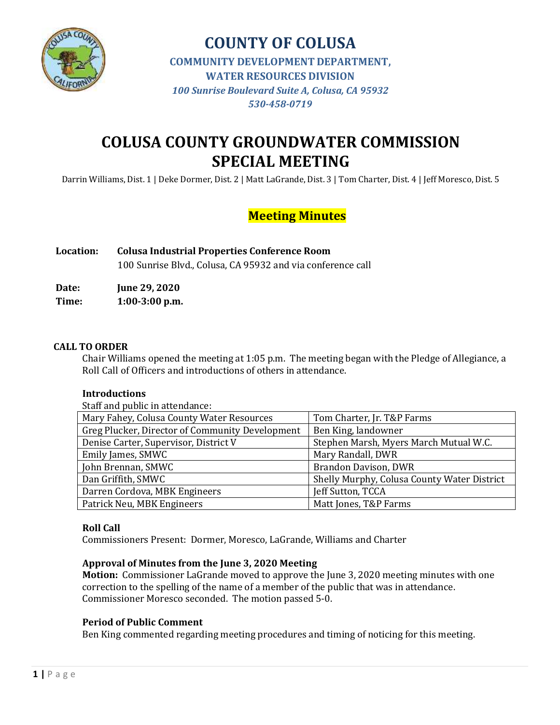

# **COLUSA COUNTY GROUNDWATER COMMISSION SPECIAL MEETING**

Darrin Williams, Dist. 1 | Deke Dormer, Dist. 2 | Matt LaGrande, Dist. 3 | Tom Charter, Dist. 4 | Jeff Moresco, Dist. 5

## **Meeting Minutes**

| <b>Location:</b> | <b>Colusa Industrial Properties Conference Room</b>         |  |
|------------------|-------------------------------------------------------------|--|
|                  | 100 Sunrise Blvd., Colusa, CA 95932 and via conference call |  |

**Date: June 29, 2020 Time: 1:00-3:00 p.m.**

#### **CALL TO ORDER**

Chair Williams opened the meeting at 1:05 p.m. The meeting began with the Pledge of Allegiance, a Roll Call of Officers and introductions of others in attendance.

#### **Introductions**

Staff and public in attendance:

| Mary Fahey, Colusa County Water Resources       | Tom Charter, Jr. T&P Farms                  |  |
|-------------------------------------------------|---------------------------------------------|--|
| Greg Plucker, Director of Community Development | Ben King, landowner                         |  |
| Denise Carter, Supervisor, District V           | Stephen Marsh, Myers March Mutual W.C.      |  |
| Emily James, SMWC                               | Mary Randall, DWR                           |  |
| John Brennan, SMWC                              | Brandon Davison, DWR                        |  |
| Dan Griffith, SMWC                              | Shelly Murphy, Colusa County Water District |  |
| Darren Cordova, MBK Engineers                   | Jeff Sutton, TCCA                           |  |
| Patrick Neu, MBK Engineers                      | Matt Jones, T&P Farms                       |  |
|                                                 |                                             |  |

#### **Roll Call**

Commissioners Present: Dormer, Moresco, LaGrande, Williams and Charter

#### **Approval of Minutes from the June 3, 2020 Meeting**

**Motion:** Commissioner LaGrande moved to approve the June 3, 2020 meeting minutes with one correction to the spelling of the name of a member of the public that was in attendance. Commissioner Moresco seconded. The motion passed 5-0.

#### **Period of Public Comment**

Ben King commented regarding meeting procedures and timing of noticing for this meeting.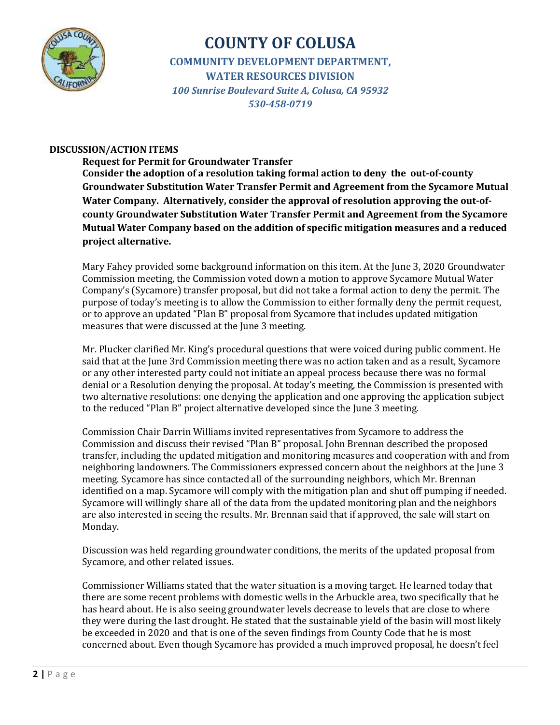

#### **DISCUSSION/ACTION ITEMS**

**Request for Permit for Groundwater Transfer Consider the adoption of a resolution taking formal action to deny the out-of-county Groundwater Substitution Water Transfer Permit and Agreement from the Sycamore Mutual Water Company. Alternatively, consider the approval of resolution approving the out-ofcounty Groundwater Substitution Water Transfer Permit and Agreement from the Sycamore Mutual Water Company based on the addition of specific mitigation measures and a reduced project alternative.**

Mary Fahey provided some background information on this item. At the June 3, 2020 Groundwater Commission meeting, the Commission voted down a motion to approve Sycamore Mutual Water Company's (Sycamore) transfer proposal, but did not take a formal action to deny the permit. The purpose of today's meeting is to allow the Commission to either formally deny the permit request, or to approve an updated "Plan B" proposal from Sycamore that includes updated mitigation measures that were discussed at the June 3 meeting.

Mr. Plucker clarified Mr. King's procedural questions that were voiced during public comment. He said that at the June 3rd Commission meeting there was no action taken and as a result, Sycamore or any other interested party could not initiate an appeal process because there was no formal denial or a Resolution denying the proposal. At today's meeting, the Commission is presented with two alternative resolutions: one denying the application and one approving the application subject to the reduced "Plan B" project alternative developed since the June 3 meeting.

Commission Chair Darrin Williams invited representatives from Sycamore to address the Commission and discuss their revised "Plan B" proposal. John Brennan described the proposed transfer, including the updated mitigation and monitoring measures and cooperation with and from neighboring landowners. The Commissioners expressed concern about the neighbors at the June 3 meeting. Sycamore has since contacted all of the surrounding neighbors, which Mr. Brennan identified on a map. Sycamore will comply with the mitigation plan and shut off pumping if needed. Sycamore will willingly share all of the data from the updated monitoring plan and the neighbors are also interested in seeing the results. Mr. Brennan said that if approved, the sale will start on Monday.

Discussion was held regarding groundwater conditions, the merits of the updated proposal from Sycamore, and other related issues.

Commissioner Williams stated that the water situation is a moving target. He learned today that there are some recent problems with domestic wells in the Arbuckle area, two specifically that he has heard about. He is also seeing groundwater levels decrease to levels that are close to where they were during the last drought. He stated that the sustainable yield of the basin will most likely be exceeded in 2020 and that is one of the seven findings from County Code that he is most concerned about. Even though Sycamore has provided a much improved proposal, he doesn't feel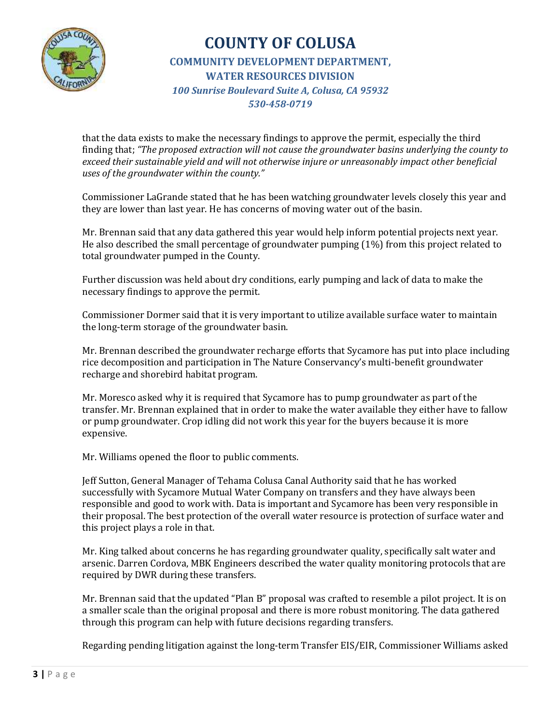

that the data exists to make the necessary findings to approve the permit, especially the third finding that; *"The proposed extraction will not cause the groundwater basins underlying the county to exceed their sustainable yield and will not otherwise injure or unreasonably impact other beneficial uses of the groundwater within the county."*

Commissioner LaGrande stated that he has been watching groundwater levels closely this year and they are lower than last year. He has concerns of moving water out of the basin.

Mr. Brennan said that any data gathered this year would help inform potential projects next year. He also described the small percentage of groundwater pumping (1%) from this project related to total groundwater pumped in the County.

Further discussion was held about dry conditions, early pumping and lack of data to make the necessary findings to approve the permit.

Commissioner Dormer said that it is very important to utilize available surface water to maintain the long-term storage of the groundwater basin.

Mr. Brennan described the groundwater recharge efforts that Sycamore has put into place including rice decomposition and participation in The Nature Conservancy's multi-benefit groundwater recharge and shorebird habitat program.

Mr. Moresco asked why it is required that Sycamore has to pump groundwater as part of the transfer. Mr. Brennan explained that in order to make the water available they either have to fallow or pump groundwater. Crop idling did not work this year for the buyers because it is more expensive.

Mr. Williams opened the floor to public comments.

Jeff Sutton, General Manager of Tehama Colusa Canal Authority said that he has worked successfully with Sycamore Mutual Water Company on transfers and they have always been responsible and good to work with. Data is important and Sycamore has been very responsible in their proposal. The best protection of the overall water resource is protection of surface water and this project plays a role in that.

Mr. King talked about concerns he has regarding groundwater quality, specifically salt water and arsenic. Darren Cordova, MBK Engineers described the water quality monitoring protocols that are required by DWR during these transfers.

Mr. Brennan said that the updated "Plan B" proposal was crafted to resemble a pilot project. It is on a smaller scale than the original proposal and there is more robust monitoring. The data gathered through this program can help with future decisions regarding transfers.

Regarding pending litigation against the long-term Transfer EIS/EIR, Commissioner Williams asked